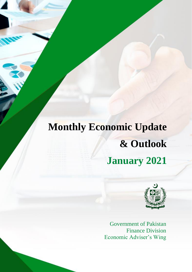# **Monthly Economic Update & Outlook January 2021**



Government of Pakistan Finance Division Economic Adviser's Wing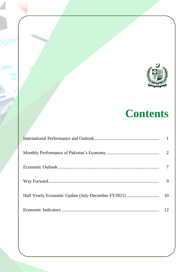

## **Contents**

| 9 |
|---|
|   |
|   |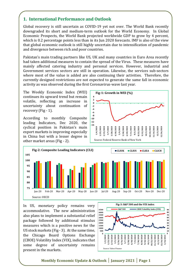## **1. International Performance and Outlook**

Global recovery is still uncertain as COVID-19 yet not over. The World Bank recently downgraded its short and medium-term outlook for the World Economy. In Global Economic Prospects, the World Bank projected worldwide GDP to grow by 4 percent, which is 0.2 percentage points less than in its Jun 2020 forecasts. IMF is also of the view that global economic outlook is still highly uncertain due to intensification of pandemic and divergence between rich and poor countries.

Pakistan's main trading partners like US, UK and many countries in Euro Area recently had taken additional measures to contain the spread of the Virus. These measures have mainly affected catering industry and personal services. However, industrial and Government services sectors are still in operation. Likewise, the services sub-sectors where most of the value is added are also continuing their activities. Therefore, the currently designed restrictions are not expected to generate the same fall in economic activity as was observed during the first Coronavirus-wave last year.

The Weekly Economic Index (WEI) continues its upward trend but remain volatile, reflecting an increase in uncertainty about continuation of recovery (Fig - 1).

According to monthly Composite leading Indicators, Dec 2020, the cyclical position in Pakistan's main export markets is improving especially in China but with a lesser degree in other market areas (Fig - 2).





In US, monetary policy remains very accommodative. The new administration also plans to implement a substantial relief package followed by additional stimulus measures which is a positive news for the US stock markets (Fig - 3). At the same time, the Chicago Board Options Exchange (CBOE) Volatility Index (VIX), indicates that some degree of uncertainty remains present in the markets.

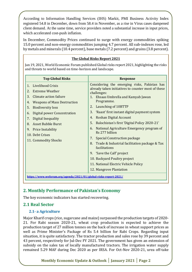According to Information Handling Services (IHS) Markit, PMI Business Activity Index registered 54.8 in December, down from 58.4 in November, as a rise in Virus cases dampened client demand. At the same time, service providers noted a substantial increase in input prices, which accelerated cost-push inflation.

In December, Commodity Prices continued to surge with energy commodities spiking 15.0 percent and non-energy commodities jumping 4.7 percent. All sub-indexes rose, led by metals and minerals (10.4 percent), base metals (7.2 percent) and grains (3.8 percent).

#### **The Global Risks Report 2021**

Jan 19, 2021, World Economic Forum published Global risks report 2021, highlighting the risks and threats to world based on time-horizon and landscape.

| <b>Top Global Risks</b>                                                                                                                                                                                                                                                                                                                                         | <b>Response</b>                                                                                                                                                                                                                                                                                                                                                                                                                                                                                                                                                                                                                                                            |  |  |
|-----------------------------------------------------------------------------------------------------------------------------------------------------------------------------------------------------------------------------------------------------------------------------------------------------------------------------------------------------------------|----------------------------------------------------------------------------------------------------------------------------------------------------------------------------------------------------------------------------------------------------------------------------------------------------------------------------------------------------------------------------------------------------------------------------------------------------------------------------------------------------------------------------------------------------------------------------------------------------------------------------------------------------------------------------|--|--|
| <b>Livelihood Crisis</b><br>$\mathbf{1}$ .<br>2.<br><b>Extreme Weather</b><br>3.<br>Climate action failure<br><b>Weapons of Mass Destruction</b><br>4.<br>5.<br><b>Biodiversity loss</b><br>Digital power Concentration<br>6.<br>7.<br>Digital Inequality<br><b>Asset Bubble Burst</b><br>8.<br>9. Price Instability<br>10. Debt Crises<br>11. Commodity Shocks | Considering the emerging risks, Pakistan has<br>already taken initiatives to counter most of these<br>challenges:<br>1. Ehsaas Umbrella and Kamyab Jawan<br>Programme.<br>Launching of 10BTTP<br>2.<br>3.<br>'Raast' first instant digital payment system<br>Roshan Digital Account<br>4.<br>5.<br>Balochistan's first 'Digital Policy 2020-21'<br>National Agriculture Emergency program of<br>6.<br>Rs 277 billion<br><b>Special Construction package</b><br>7.<br>Trade & Industrial facilitation package & Tax<br>8.<br>facilitations<br>9. 'Save the Calf' project<br>10. Backyard Poultry project<br>11. National Electric Vehicle Policy<br>12. Mangrove Plantation |  |  |
| https://www.weforum.org/agenda/2021/01/global-risks-report-2021/                                                                                                                                                                                                                                                                                                |                                                                                                                                                                                                                                                                                                                                                                                                                                                                                                                                                                                                                                                                            |  |  |

### **2. Monthly Performance of Pakistan's Economy**

The key economic indicators has started recovering.

#### **2.1 Real Sector**

#### **2.1- a Agriculture**

Major Kharif crops (rice, sugarcane and maize) surpassed the production targets of 2020- 21. For Rabi season 2020-21, wheat crop production is expected to achieve the production target of 27 million tonnes on the back of increase in wheat support prices as well as Prime Minister's Package of Rs 5.4 billion for Rabi Crops. Regarding input situation, it is quite satisfactory. The tractor production and sales rose by 39 percent and 43 percent, respectively for Jul-Dec FY 2021. The government has given an extension of subsidy on the sales tax of locally manufactured tractors. The irrigation water supply remained 5.29 MAF during Dec 2020 as per IRSA. For Oct-Nov 2020-21, urea off-take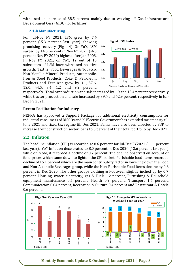witnessed an increase of 88.5 percent mainly due to waiving off Gas Infrastructure Development Cess (GIDC) for fertilizer.

#### **2.1-b Manufacturing**

For Jul-Nov FY 2021, LSM grew by 7.4 percent (-5.3 percent last year) showing promising recovery (Fig – 4). On YoY, LSM surged by 14.5 percent in Nov FY 2021 (-4.3 percent Nov FY 2020) highest after Jan 2008. In Nov FY 2021, on YoY, 12 out of 15 subsectors of LSM have witnessed positive growth. Textile, Food Beverages & Tobacco, Non-Metallic Mineral Products, Automobile, Iron & Steel Products, Coke & Petroleum Products and Fertilizer grew by 3.1, 57.6, 12.0, 44.5, 3.4, 1.2 and 9.2 percent,



respectively. Total car production and sale increased by 1.9 and 13.4 percent respectively while tractor production and sale increased by 39.4 and 42.9 percent, respectively in Jul-Dec FY 2021.

#### **Recent Facilitation for Industry**

NEPRA has approved a Support Package for additional electricity consumption for industrial consumers of DISCOs and K-Electric. Government has extended tax amnesty till June 2021 and fixed tax regime till Dec 2021. Banks have also been directed by SBP to increase their construction sector loans to 5 percent of their total portfolio by Dec 2021.

### **2.2. Inflation**

The headline inflation (CPI) is recorded at 8.6 percent for Jul-Dec FY2021 (11.1 percent last year). YoY inflation decelerated to 8.0 percent in Dec 2020 (12.6 percent last year) while on MoM, it recorded a decline of 0.7 percent. The decline observed on account of food prices which tame down to lighten the CPI basket. Perishable food items recorded decline of 15.1 percent which are the main contributory factor in lowering down the Food and Non-Alcoholic Beverages group, while the Non-Perishable Food items decline by 0.6 percent in Dec 2020. The other groups clothing & Footwear slightly inched up by 0.7 percent, Housing, water, electricity, gas & Fuels 1.2 percent, Furnishing & Household equipment maintenance 0.5 percent, Health 0.9 percent, Transport 1.6 percent, Communication 0.04 percent, Recreation & Culture 0.4 percent and Restaurant & Hotels 0.6 percent.

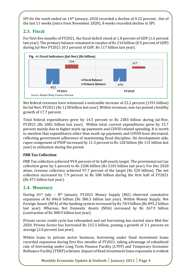SPI for the week ended on 14<sup>th</sup> January, 2020 recorded a decline of 0.22 percent. Out of the last 11 weeks (since from November 2020), 8 weeks recorded decline in SPI.

## **2.3. Fiscal**

For first five months of FY2021, the fiscal deficit stood at 1.8 percent of GDP (1.6 percent last year). The primary balance remained in surplus of Rs 216 billion (0.5 percent of GDP) during Jul-Nov FY2021 (0.3 percent of GDP, Rs 117 billion last year).



Net federal revenues have witnessed a noticeable increase of 22.2 percent (1391 billion) for Jul-Nov, FY2021 (Rs 1138 billion last year). Within revenues, non-tax posted a healthy growth of 17.7 percent.

Total federal expenditures grew by 14.5 percent to Rs 2383 billion during Jul-Nov, FY2021 (Rs 2081 billion last year). Within total, current expenditures grew by 15.7 percent mainly due to higher mark-up payments and COVID related spending. It is worth to mention that expenditures other than mark-up payments and COVID have decreased, reflecting government adherence of maintaining fiscal discipline. On development side, rupee component of PSDP increased by 11.3 percent to Rs 128 billion (Rs 115 billion last year) in utilization during the period.

### **FBR Tax Collection**

FBR Tax collection achieved 99.8 percent of its half-yearly target. The provisional net tax collection grew by 5 percent to Rs 2206 billion (Rs 2101 billion last year). For Dec 2020 alone, revenue collection achieved 97.7 percent of the target (Rs 520 billion). The net collection increased by 7.9 percent to Rs 508 billion during the first half of FY2021 (Rs 471 billion last year).

## **2.4. Monetary**

During  $01^{st}$  July –  $8^{th}$  January, FY2021 Money Supply (M2) observed cumulative expansion of Rs 846.8 billion (Rs 586.3 billion last year). Within Money Supply, Net Foreign Assets (NFA) of the banking system increased by Rs 78.9 billion (Rs 895.2 billion last year). Whereas, Net Domestic Assets (NDA) increased by Rs 267.9 billion (contraction of Rs 308.9 billion last year).

Private sector credit cycle has rebounded and net borrowing has started since Mid-Dec 2020. Private Sector has borrowed Rs 215.5 billion, posting a growth of 3.1 percent on average (2.0 percent last year).

Within loans to private sector business, borrowing under fixed investment loans recorded expansion during first five months of FY2021, taking advantage of subsidized rate of borrowing under Long Term Finance Facility (LTFF) and Temporary Economic Refinance Facility (TERF) schemes. Impact of fixed investment loans expansion is evident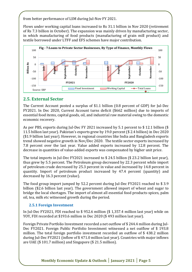from better performance of LSM during Jul-Nov FY 2021.

Flows under working capital loans increased to Rs 31.1 billion in Nov 2020 (retirement of Rs 7.3 billion in October). The expansion was mainly driven by manufacturing sector, in which manufacturing of food products (manufacturing of grain mill product) and textile borrowed under LTFF and EFS schemes have major contribution.



### **2.5. External Sector**

The Current Account posted a surplus of \$1.1 billion (0.8 percent of GDP) for Jul-Dec FY2021. In Dec 2020, Current Account turns deficit (\$662 million) due to imports of essential food items, capital goods, oil, and industrial raw material owing to the domestic economic recovery.

As per PBS, exports during Jul-Dec FY 2021 increased by 5.1 percent to \$ 12.1 billion (\$ 11.5 billion last year). Pakistan's exports grew by 19.0 percent (\$ 2.4 billion) in Dec 2020 (\$1.9 billion last year). However, in regional countries like India and Bangladesh exports trend showed negative growth in Nov/Dec 2020. The textile sector exports increased by 7.8 percent over the last year. Value added exports increased by 12.8 percent. The decrease in quantities of value-added exports was compensated by higher unit price.

The total imports in Jul-Dec FY2021 increased to \$ 24.5 billion (\$ 23.2 billion last year), thus grew by 5.5 percent. The Petroleum group decreased by 22.3 percent while import of petroleum crude decreased by 25.3 percent in value and increased by 14.8 percent in quantity. Import of petroleum product increased by 47.4 percent (quantity) and decreased by 16.3 percent (value).

The food group import jumped by 52.2 percent during Jul-Dec FY2021 reached to \$ 3.9 billion (\$2.6 billion last year). The government allowed import of wheat and sugar to bridge the local shortages. The import of almost all essential food products-spices, palm oil, tea, milk etc witnessed growth during the period.

#### **2.5.1 Foreign Investment**

In Jul-Dec FY2021, FDI reached to \$ 952.6 million (\$ 1,357.4 million last year) while on YOY, FDI recorded at \$193.6 million in Dec 2020 (\$ 493 million last year).

Foreign Private Portfolio Investment recorded a net outflow of \$ 244.4 million during Jul-Dec FY2021. Foreign Public Portfolio Investment witnessed a net outflow of \$ 193.8 million. The total foreign portfolio investment recorded an outflow of \$ 438.2 million during Jul-Dec FY2021 (inflow of \$ 471.0 million last year). Countries with major inflows are UAE (\$ 101.7 million) and Singapore (\$ 21.5 million).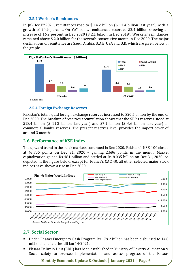#### **2.5.2 Worker's Remittances**

In Jul-Dec FY2021, remittances rose to \$ 14.2 billion (\$ 11.4 billion last year), with a growth of 24.9 percent. On YoY basis, remittances recorded \$2.4 billion showing an increase of 16.2 percent in Dec 2020 (\$ 2.1 billion in Dec 2019). Workers' remittances remained above \$ 2.0 billion for the seventh consecutive month in Dec 2020. The major destinations of remittance are Saudi Arabia, U.A.E, USA and U.K, which are given below in the graph:



#### **2.5.4 Foreign Exchange Reserves**

Pakistan's total liquid foreign exchange reserves increased to \$20.5 billion by the end of Dec 2020. The breakup of reserves accumulation shows that the SBP's reserves stood at \$13.4 billion (\$ 11.3 billion last year) and \$7.1 billion (\$ 6.6 billion last year) in commercial banks' reserves. The present reserves level provides the import cover of around 3 months.

#### **2.6. Performance of KSE Index**

The upward trend in the stock markets continued in Dec 2020. Pakistan's KSE-100 closed at 43,755 points on Dec 31, 2020 – gaining 2,686 points in the month. Market capitalization gained Rs 481 billion and settled at Rs 8,035 billion on Dec 31, 2020. As depicted in the figure below, except for France's CAC 40, all other selected major stock indices have shown a rise in Dec 2020.



### **2.7. Social Sector**

- Under Ehsaas Emergency Cash Program Rs 179.2 billion has been disbursed to 14.8 million beneficiaries till Jan 14, 2021.
- Ehsaas Delivery Unit (EDU) has been established in Ministry of Poverty Alleviation & Social safety to oversee implementation and assess progress of the Ehsaas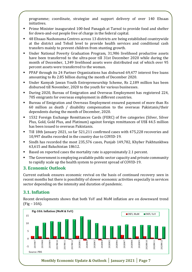programme; coordinate, strategize and support delivery of over 140 Ehsaas initiatives.

- Prime Minister inaugurated 100-bed Panagah at Tarnol to provide food and shelter for down-and-out people free of charge in the federal capital.
- 48 Ehsaas Nashonuma Centres across 13 districts are being established countrywide at the district and Tehsil level to provide health services and conditional cash transfers mainly to prevent children from stunting growth.
- Under National Poverty Graduation Program, 31,986 livelihood productive assets have been transferred to the ultra-poor till 31st December 2020 while during the month of December, 1,349 livelihood assets were distributed out of which over 95 percent assets were transferred to the woman.
- PPAF through its 24 Partner Organizations has disbursed 69,477 interest free loans amounting to Rs 2.85 billion during the month of December 2020.
- Under Kamyab Jawan Youth Entrepreneurship Scheme, Rs 2,189 million has been disbursed till November, 2020 to the youth for various businesses.
- During 2020, Bureau of Emigration and Overseas Employment has registered 224, 705 emigrants for overseas employment in different countries.
- Bureau of Emigration and Overseas Employment ensured payment of more than Rs 60 million as death / disability compensation to the overseas Pakistanis/their dependents during the month of December, 2020.
- 1532 Foreign Exchange Remittances Cards (FERC) of five categories (Silver, Silver Plus, Gold, Gold Plus, and Platinum) against foreign remittances of US\$ 44.5 million has been issued to overseas Pakistanis.
- Till 18th January 2021, so far 521,211 confirmed cases with 475,228 recoveries and 10,997 deaths recorded in the country due to COVID-19.
- Sindh has recorded the most 235,576 cases, Punjab 149,782, Khyber Pakhtunkhwa 63,615 and Baluchistan 18612.
- Based on reported cases the mortality rate is approximately 2.1 percent.
- The Government is employing available public sector capacity and private community to rapidly scale up the health system to prevent spread of COVID-19.

#### **3. Economic Outlook**

Current outlook ensures economic revival on the basis of continued recovery seen in recent months but there is possibility of slower economic activities especially in services sector depending on the intensity and duration of pandemic.

### **3.1. Inflation**

Recent developments shows that both YoY and MoM inflation are on downward trend (Fig – 10A).

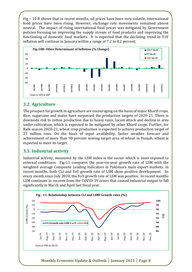Fig – 10 B shows that in recent months, oil prices have been very volatile, international food prices have been rising. However, exchange rate movements remained almost neutral. The impact of rising international food prices was mitigated by Government policies focusing on improving the supply stream of food products and improving the functioning of domestic food markets. It is expected that the declining trend in YoY inflation will continue in January within a range of 7.2 to 8.2 percent.



#### **3.2. Agriculture**

The prospect for growth in agriculture are encouraging on the basis of major Kharif crops. Rice, sugarcane and maize have surpassed the production targets of 2020-21. There is downside risk to cotton production due to heavy rains, locust attack and decline in area under cultivation, which is expected to be mitigated by other Kharif crops. Further, for Rabi season 2020-21, wheat crop production is expected to achieve production target of 27 million tons. On the basis of input availability, better weather forecast and achievement of more than 90 percent sowing target area of wheat in Punjab, wheat is expected to meet its target.

#### **3.3. Industrial activity**

Industrial activity, measured by the LSM index is the sector which is most exposed to external conditions. Fig-11 compares the year-on-year growth rate of LSM with the weighted average Composite Leading Indicators in Pakistan's main export markets. In recent months, both CLI and YoY growth rate of LSM show positive development. In every month since July 2020, the YoY growth rate of LSM was positive. In recent months LSM continues to recover from the COVID-19 crises that caused industrial output to fall significantly in March and April last fiscal year.

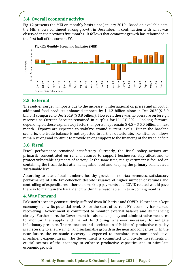## **3.4. Overall economic activity**

Fig-12 presents the MEI on monthly basis since January 2019. Based on available data, the MEI shows continued strong growth in December, in continuation with what was observed in the previous five months. It follows that economic growth has rebounded in the first half of the current FY.



#### **3.5. External**

The sudden surge in imports due to the increase in international oil prices and import of additional food products enhanced imports by \$ 1.2 billion alone in Dec 2020(\$ 5.0 billion) compared to Dec 2019 (\$ 3.8 billion). However, there was no pressure on foreign reserves as Current Account remained in surplus for H1 FY 2021. Looking forward, depending on these explanatory factors, imports may remain \$ 4.5 – \$ 5.0 billion in next month. Exports are expected to stabilize around current levels. But in the baseline scenario, the trade balance is not expected to further deteriorate. Remittance inflows remain strong and continue to provide strong support to the financing of the trade deficit.

#### **3.6. Fiscal**

Fiscal performance remained satisfactory. Currently, the fiscal policy actions are primarily concentrated on relief measures to support businesses stay afloat and to protect vulnerable segments of society. At the same time, the government is focused on containing the fiscal deficit at a manageable level and keeping the primary balance at a sustainable level.

According to latest fiscal numbers, healthy growth in non-tax revenues, satisfactory performance of FBR tax collection despite issuance of higher number of refunds and controlling of expenditures other than mark-up payments and COVID related would pave the way to maintain the fiscal deficit within the reasonable limits in coming months.

#### **4. Way Forward**

Pakistan's economy consecutively suffered from BOP crisis and COVID-19 pandemic kept economy below its potential level. Since the start of current FY, economy has started recovering. Government is committed to monitor external balance and its financing closely. Furthermore, the Government has also taken policy and administrative measures to monitor the supply and market functioning wherever necessary to mitigate inflationary pressure. The restoration and acceleration of Pakistan's productive capacity is a necessity to ensure a high and sustainable growth in the near and longer term. In the near future, the economic recovery is expected to translate into more productive investment expenditures. The Government is committed to motivate investments in crucial sectors of the economy to enhance productive capacities and to stimulate economic growth

**Monthly Economic Update & Outlook │ January 2021 │ Page 9**

**\_\_\_\_\_\_\_\_\_\_\_\_\_\_\_\_\_\_\_\_\_\_\_\_\_\_\_\_\_\_\_\_\_\_**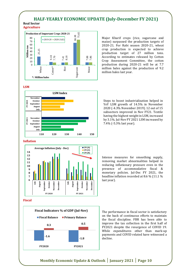#### **HALF-YEARLY ECONOMIC UPDATE (July-December FY 2021)**

#### **Real Sector Agriculture**



Major Kharif crops (rice, sugarcane and maize) surpassed the production targets of 2020-21. For Rabi season 2020-21, wheat crop production is expected to achieve production target of 27 million tons. According to estimates released by Cotton Crop Assessment Committee, the cotton production during 2020-21 will be at 7.7 million bales against the production of 9.2 million bales last year.

#### **LSM**



Steps to boost industrialization helped in YoY LSM growth of 14.5% in November 2020 (-4.3% November 2019). 12 out of 15 subsectors improved in Nov FY21. Textile having the highest weight in LSM, increased by 3.1%. Jul-Nov FY 2021 LSM increased by 7.4% (-5.3% last year).

#### **Inflation**



#### **Fiscal**



Intense measures for smoothing supply, removing market abnormalities helped in reducing inflationary pressure even in the presence of accommodative fiscal & monetary policies. Jul-Dec FY 2021, the headline inflation recorded at 8.6 % (11.1 % last year).

The performance in fiscal sector is satisfactory on the back of continuous efforts to maintain the fiscal discipline. FBR has been able to improve the tax collection in the first half of FY2021 despite the resurgence of COVID 19. While expenditures other than mark-up payments and COVID related have witnessed a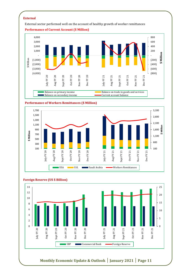#### **External**

External sector performed well on the account of healthy growth of worker remittances



#### **Performance of Workers Remittances (\$ Million)**





#### **Foreign Reserve (US \$ Billion)**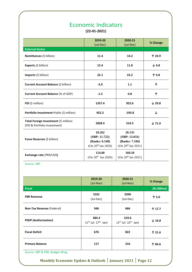## Economic Indicators

**(22-01-2021)**

|                                                                       | 2019-20                                                                     | 2020-21                                                                     | % Change          |
|-----------------------------------------------------------------------|-----------------------------------------------------------------------------|-----------------------------------------------------------------------------|-------------------|
|                                                                       | (Jul-Dec)                                                                   | (Jul-Dec)                                                                   |                   |
| <b>External Sector</b>                                                |                                                                             |                                                                             |                   |
| Remittances (\$ billion)                                              | 11.4                                                                        | 14.2                                                                        | 个 24.9            |
| Exports (\$ billion)                                                  | 12.4                                                                        | 11.8                                                                        | $\downarrow$ 4.8  |
| Imports (\$ billion)                                                  | 22.1                                                                        | 23.2                                                                        | 个 4.8             |
| Current Account Balance (\$ billion)                                  | $-2.0$                                                                      | 1.1                                                                         | ↑                 |
| <b>Current Account Balance (% of GDP)</b>                             | $-1.5$                                                                      | 0.8                                                                         | ↑                 |
| FDI (\$ million)                                                      | 1357.4                                                                      | 952.6                                                                       | $\downarrow$ 29.8 |
| Portfolio Investment-Public (\$ million)                              | 452.2                                                                       | $-193.8$                                                                    | ↓                 |
| Total Foreign Investment (\$ million)<br>(FDI & Portfolio Investment) | 1828.4                                                                      | 514.5                                                                       | $\downarrow$ 71.9 |
| Forex Reserves (\$ billion)                                           | 18.262<br>(SBP: 11.722)<br>(Banks: 6.540)<br>(On 20 <sup>th</sup> Jan 2020) | 20.135<br>(SBP: 13.031)<br>(Banks: 7.104)<br>(On 20 <sup>th</sup> Jan 2021) |                   |
| Exchange rate (PKR/US\$)                                              | 154.60<br>(On 20 <sup>th</sup> Jan 2020)                                    | 160.50<br>(On 20 <sup>th</sup> Jan 2021)                                    |                   |

Source: SBP

|                             | 2019-20<br>(Jul-Nov)                   | 2020-21<br>(Jul-Nov)                   | % Change          |
|-----------------------------|----------------------------------------|----------------------------------------|-------------------|
| <b>Fiscal</b>               |                                        |                                        | (Rs Billion)      |
| <b>FBR Revenue</b>          | 2101<br>(Jul-Dec)                      | 2206<br>(Jul-Dec)                      | 个 5.0             |
| Non-Tax Revenue (Federal)   | 566                                    | 666                                    | 个 17.7            |
| <b>PSDP</b> (Authorization) | 384.3<br>$(1^{ST}$ Jul- $17^{th}$ Jan) | 319.6<br>$(1^{ST}$ Jul- $15^{th}$ Jan) | $\downarrow$ 16.8 |
| <b>Fiscal Deficit</b>       | 676                                    | 822                                    | 个 21.6            |
| <b>Primary Balance</b>      | 117                                    | 216                                    | 个 84.6            |

Source: SBP & FBR, Budget Wing